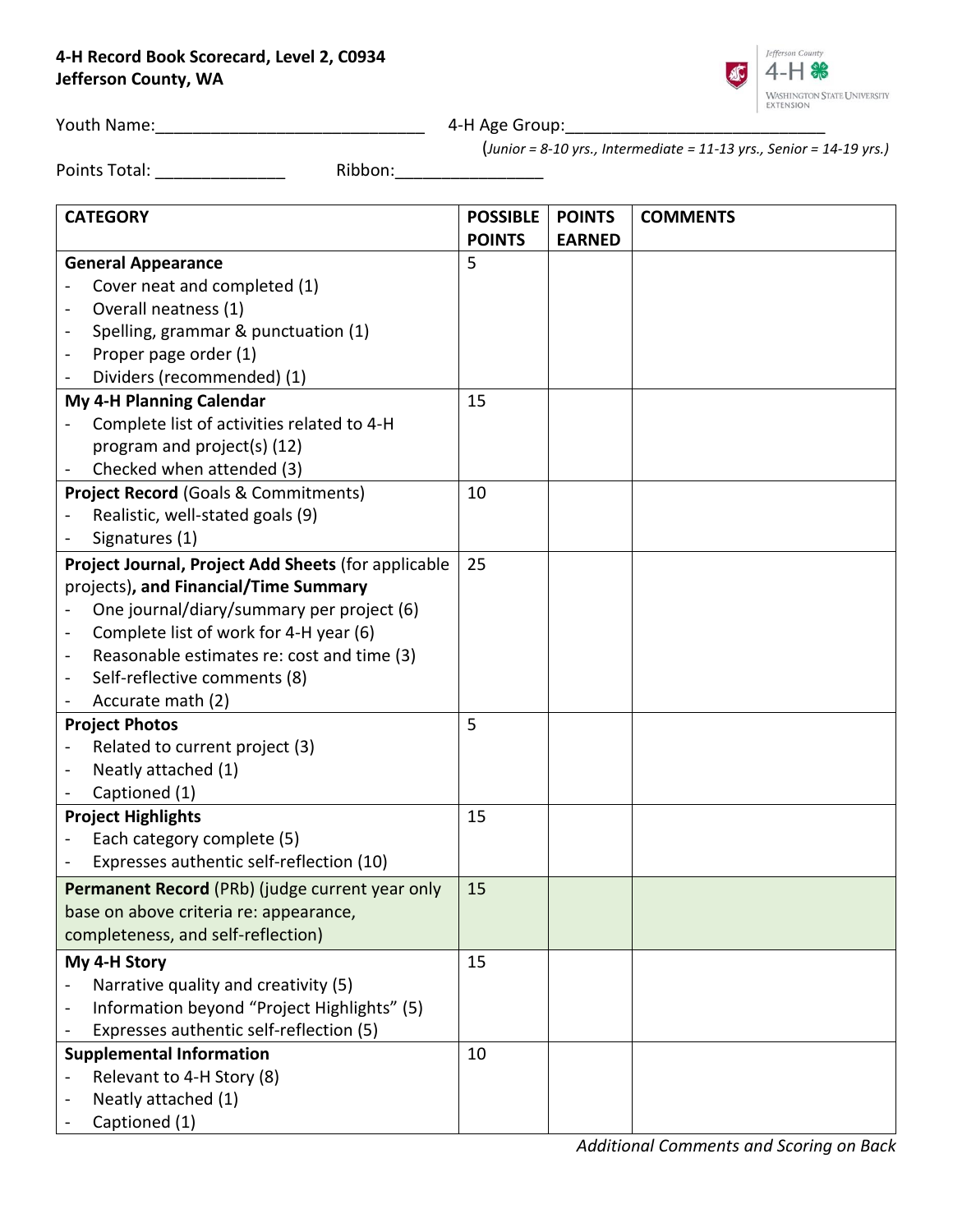## **4-H Record Book Scorecard, Level 2, C0934 Jefferson County, WA**



Youth Name:\_\_\_\_\_\_\_\_\_\_\_\_\_\_\_\_\_\_\_\_\_\_\_\_\_\_\_\_\_ 4-H Age Group:\_\_\_\_\_\_\_\_\_\_\_\_\_\_\_\_\_\_\_\_\_\_\_\_\_\_\_\_

(*Junior = 8-10 yrs., Intermediate = 11-13 yrs., Senior = 14-19 yrs.)*

Points Total: \_\_\_\_\_\_\_\_\_\_\_\_\_\_ Ribbon:\_\_\_\_\_\_\_\_\_\_\_\_\_\_\_\_

| <b>CATEGORY</b>                                     | <b>POSSIBLE</b> | <b>POINTS</b> | <b>COMMENTS</b> |
|-----------------------------------------------------|-----------------|---------------|-----------------|
|                                                     | <b>POINTS</b>   | <b>EARNED</b> |                 |
| <b>General Appearance</b>                           | 5               |               |                 |
| Cover neat and completed (1)                        |                 |               |                 |
| Overall neatness (1)                                |                 |               |                 |
| Spelling, grammar & punctuation (1)                 |                 |               |                 |
| Proper page order (1)                               |                 |               |                 |
| Dividers (recommended) (1)                          |                 |               |                 |
| My 4-H Planning Calendar                            | 15              |               |                 |
| Complete list of activities related to 4-H          |                 |               |                 |
| program and project(s) (12)                         |                 |               |                 |
| Checked when attended (3)                           |                 |               |                 |
| <b>Project Record (Goals &amp; Commitments)</b>     | 10              |               |                 |
| Realistic, well-stated goals (9)                    |                 |               |                 |
| Signatures (1)                                      |                 |               |                 |
| Project Journal, Project Add Sheets (for applicable | 25              |               |                 |
| projects), and Financial/Time Summary               |                 |               |                 |
| One journal/diary/summary per project (6)           |                 |               |                 |
| Complete list of work for 4-H year (6)              |                 |               |                 |
| Reasonable estimates re: cost and time (3)          |                 |               |                 |
| Self-reflective comments (8)                        |                 |               |                 |
| Accurate math (2)                                   |                 |               |                 |
| <b>Project Photos</b>                               | 5               |               |                 |
| Related to current project (3)                      |                 |               |                 |
| Neatly attached (1)                                 |                 |               |                 |
| Captioned (1)                                       |                 |               |                 |
| <b>Project Highlights</b>                           | 15              |               |                 |
| Each category complete (5)                          |                 |               |                 |
| Expresses authentic self-reflection (10)            |                 |               |                 |
| Permanent Record (PRb) (judge current year only     | 15              |               |                 |
| base on above criteria re: appearance,              |                 |               |                 |
| completeness, and self-reflection)                  |                 |               |                 |
| My 4-H Story                                        | 15              |               |                 |
| Narrative quality and creativity (5)                |                 |               |                 |
| Information beyond "Project Highlights" (5)         |                 |               |                 |
| Expresses authentic self-reflection (5)             |                 |               |                 |
| <b>Supplemental Information</b>                     | 10              |               |                 |
| Relevant to 4-H Story (8)                           |                 |               |                 |
| Neatly attached (1)                                 |                 |               |                 |
| Captioned (1)                                       |                 |               |                 |

*Additional Comments and Scoring on Back*